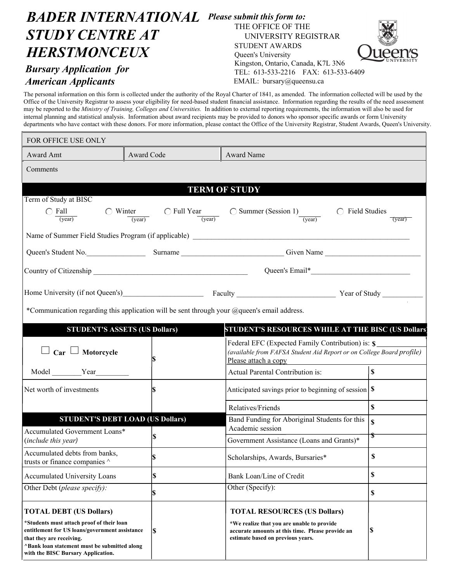## *BADER INTERNATIONAL Please submit this form to: STUDY CENTRE AT HERSTMONCEUX Bursary Application for American Applicants* THE OFFICE OF THE UNIVERSITY REGISTRAR STUDENT AWARDS Queen's University Kingston, Ontario, Canada, K7L 3N6 TEL: 613-533-2216 FAX: 613-533-6409 EMAIL: bursary@queensu.ca

The personal information on this form is collected under the authority of the Royal Charter of 1841, as amended. The information collected will be used by the Office of the University Registrar to assess your eligibility for need-based student financial assistance. Information regarding the results of the need assessment may be reported to the *Ministry of Training, Colleges and Universities.* In addition to external reporting requirements, the information will also be used for internal planning and statistical analysis. Information about award recipients may be provided to donors who sponsor specific awards or form University departments who have contact with these donors. For more information, please contact the Office of the University Registrar, Student Awards, Queen's University.

| FOR OFFICE USE ONLY                                                                                                                                                                                                                             |            |                                                                                                                                                                            |                    |
|-------------------------------------------------------------------------------------------------------------------------------------------------------------------------------------------------------------------------------------------------|------------|----------------------------------------------------------------------------------------------------------------------------------------------------------------------------|--------------------|
| Award Amt                                                                                                                                                                                                                                       | Award Code | <b>Award Name</b>                                                                                                                                                          |                    |
| Comments                                                                                                                                                                                                                                        |            |                                                                                                                                                                            |                    |
|                                                                                                                                                                                                                                                 |            | <b>TERM OF STUDY</b>                                                                                                                                                       |                    |
| Term of Study at BISC                                                                                                                                                                                                                           |            |                                                                                                                                                                            |                    |
| $\bigcirc$ Fall $\_$<br>(year)                                                                                                                                                                                                                  |            | $\circ$ Winter C Full Year C Summer (Session 1)<br>(year) C Field Studies                                                                                                  | (year)             |
|                                                                                                                                                                                                                                                 |            |                                                                                                                                                                            |                    |
| Queen's Student No. Surname Surname Communication Civen Name Communication Communication Communication Communication Communication Communication Communication Communication Communication Communication Communication Communi                  |            |                                                                                                                                                                            |                    |
|                                                                                                                                                                                                                                                 |            |                                                                                                                                                                            |                    |
|                                                                                                                                                                                                                                                 |            | Home University (if not Queen's) Faculty Faculty Faculty Faculty Pear of Study                                                                                             |                    |
| *Communication regarding this application will be sent through your @queen's email address.                                                                                                                                                     |            |                                                                                                                                                                            |                    |
| <b>STUDENT'S ASSETS (US Dollars)</b>                                                                                                                                                                                                            |            | STUDENT'S RESOURCES WHILE AT THE BISC (US Dollars)                                                                                                                         |                    |
| $\Gamma$ Car $\Box$ Motorcycle                                                                                                                                                                                                                  |            | Federal EFC (Expected Family Contribution) is: \$<br>(available from FAFSA Student Aid Report or on College Board profile)<br>Please attach a copy                         |                    |
| Model Year                                                                                                                                                                                                                                      |            | Actual Parental Contribution is:                                                                                                                                           | $\mathbf S$        |
| Net worth of investments                                                                                                                                                                                                                        |            | Anticipated savings prior to beginning of session $\vert \$                                                                                                                |                    |
|                                                                                                                                                                                                                                                 |            | Relatives/Friends                                                                                                                                                          | $\mathbf S$        |
| <b>STUDENT'S DEBT LOAD (US Dollars)</b>                                                                                                                                                                                                         |            | Band Funding for Aboriginal Students for this<br>Academic session                                                                                                          | $\mathbf{\hat{S}}$ |
| Accumulated Government Loans*<br>(include this year)                                                                                                                                                                                            | S)         | Government Assistance (Loans and Grants)*                                                                                                                                  | \$                 |
| Accumulated debts from banks,<br>trusts or finance companies $\wedge$                                                                                                                                                                           | S          | Scholarships, Awards, Bursaries*                                                                                                                                           | \$                 |
| <b>Accumulated University Loans</b>                                                                                                                                                                                                             | \$         | Bank Loan/Line of Credit                                                                                                                                                   | \$                 |
| Other Debt (please specify):                                                                                                                                                                                                                    | S          | Other (Specify):                                                                                                                                                           | \$                 |
| <b>TOTAL DEBT (US Dollars)</b><br>*Students must attach proof of their loan<br>entitlement for US loans/government assistance<br>that they are receiving.<br>^Bank loan statement must be submitted along<br>with the BISC Bursary Application. | l\$        | <b>TOTAL RESOURCES (US Dollars)</b><br>*We realize that you are unable to provide<br>accurate amounts at this time. Please provide an<br>estimate based on previous years. | S.                 |